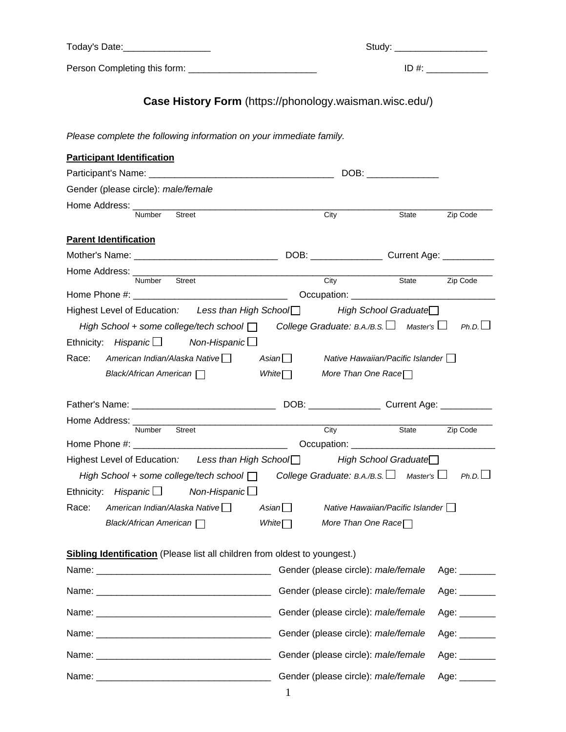Today's Date:\_\_\_\_\_\_\_\_\_\_\_\_\_\_\_\_\_ Study: \_\_\_\_\_\_\_\_\_\_\_\_\_\_\_\_\_\_

Person Completing this form: \_\_\_\_\_\_\_\_\_\_\_\_\_\_\_\_\_\_\_\_\_\_\_\_\_ ID #: \_\_\_\_\_\_\_\_\_\_\_\_

# **Case History Form** (https://phonology.waisman.wisc.edu/)

*Please complete the following information on your immediate family.* 

| <b>Participant Identification</b>                                                                             |              |                                                                                                                                                                                                                                |              |                            |
|---------------------------------------------------------------------------------------------------------------|--------------|--------------------------------------------------------------------------------------------------------------------------------------------------------------------------------------------------------------------------------|--------------|----------------------------|
|                                                                                                               |              | DOB: the contract of the contract of the contract of the contract of the contract of the contract of the contract of the contract of the contract of the contract of the contract of the contract of the contract of the contr |              |                            |
| Gender (please circle): male/female                                                                           |              |                                                                                                                                                                                                                                |              |                            |
| Home Address: _________                                                                                       |              |                                                                                                                                                                                                                                |              |                            |
| <b>Street</b><br><b>Number</b>                                                                                | City         |                                                                                                                                                                                                                                | <b>State</b> | Zip Code                   |
| <b>Parent Identification</b>                                                                                  |              |                                                                                                                                                                                                                                |              |                            |
|                                                                                                               |              |                                                                                                                                                                                                                                |              |                            |
| Home Address: _________                                                                                       |              |                                                                                                                                                                                                                                |              |                            |
| Street<br>Number                                                                                              |              | City                                                                                                                                                                                                                           | State        | Zip Code                   |
|                                                                                                               |              |                                                                                                                                                                                                                                |              |                            |
| Highest Level of Education: Less than High School□                                                            |              | High School Graduate <del></del>                                                                                                                                                                                               |              |                            |
| High School + some college/tech school $\Box$ College Graduate: B.A./B.S. $\Box$ Master's $\Box$              |              |                                                                                                                                                                                                                                |              | Ph.D.                      |
| Ethnicity: Hispanic $\Box$ Non-Hispanic $\Box$                                                                |              |                                                                                                                                                                                                                                |              |                            |
| Race:                                                                                                         | Asian∐       | Native Hawaiian/Pacific Islander                                                                                                                                                                                               |              |                            |
| Black/African American noting                                                                                 | White $\Box$ | More Than One Race $\Box$                                                                                                                                                                                                      |              |                            |
|                                                                                                               |              |                                                                                                                                                                                                                                |              |                            |
|                                                                                                               |              |                                                                                                                                                                                                                                |              |                            |
| Home Address: ________<br><u> 1980 - Johann Barn, mars an t-Amerikaansk kommunister (</u><br>Number Street    |              |                                                                                                                                                                                                                                |              |                            |
|                                                                                                               |              | City                                                                                                                                                                                                                           | State        | Zip Code                   |
|                                                                                                               |              |                                                                                                                                                                                                                                |              |                            |
| Highest Level of Education: Less than High School□ High School Graduate□                                      |              |                                                                                                                                                                                                                                |              |                            |
| High School + some college/tech school $\Box$ College Graduate: B.A./B.S. $\Box$ Master's $\Box$ Ph.D. $\Box$ |              |                                                                                                                                                                                                                                |              |                            |
| Ethnicity: Hispanic $\Box$ Non-Hispanic $\Box$                                                                |              |                                                                                                                                                                                                                                |              |                            |
| Race:<br>American Indian/Alaska Native                                                                        | Asian $\Box$ | Native Hawaiian/Pacific Islander                                                                                                                                                                                               |              |                            |
| Black/African American                                                                                        | White $\Box$ | More Than One Race $\Box$                                                                                                                                                                                                      |              |                            |
|                                                                                                               |              |                                                                                                                                                                                                                                |              |                            |
| <b>Sibling Identification</b> (Please list all children from oldest to youngest.)                             |              |                                                                                                                                                                                                                                |              |                            |
|                                                                                                               |              | Gender (please circle): male/female                                                                                                                                                                                            |              | Age: _______               |
|                                                                                                               |              | Gender (please circle): male/female                                                                                                                                                                                            |              | Age: $\_\_\_\_\_\_\_\_\_\$ |
|                                                                                                               |              | Gender (please circle): male/female                                                                                                                                                                                            |              | Age: _______               |
|                                                                                                               |              | Gender (please circle): male/female                                                                                                                                                                                            |              | Age: $\_\_$                |
|                                                                                                               |              | Gender (please circle): male/female                                                                                                                                                                                            |              | Age: _______               |
|                                                                                                               |              | Gender (please circle): male/female                                                                                                                                                                                            |              | Age: $\_\_\_\_\_\_\_\_\$   |
|                                                                                                               | $\mathbf{1}$ |                                                                                                                                                                                                                                |              |                            |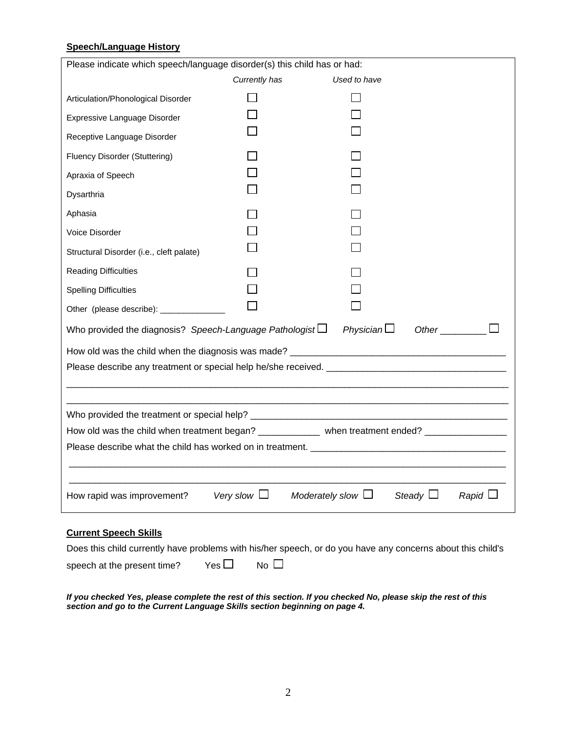#### **Speech/Language History**

| Please indicate which speech/language disorder(s) this child has or had:                    |                  |                                                                                                   |  |  |  |
|---------------------------------------------------------------------------------------------|------------------|---------------------------------------------------------------------------------------------------|--|--|--|
|                                                                                             | Currently has    | Used to have                                                                                      |  |  |  |
| Articulation/Phonological Disorder                                                          |                  |                                                                                                   |  |  |  |
| Expressive Language Disorder                                                                |                  |                                                                                                   |  |  |  |
| Receptive Language Disorder                                                                 |                  |                                                                                                   |  |  |  |
| Fluency Disorder (Stuttering)                                                               |                  |                                                                                                   |  |  |  |
| Apraxia of Speech                                                                           |                  |                                                                                                   |  |  |  |
| Dysarthria                                                                                  |                  |                                                                                                   |  |  |  |
| Aphasia                                                                                     |                  |                                                                                                   |  |  |  |
| Voice Disorder                                                                              |                  |                                                                                                   |  |  |  |
| Structural Disorder (i.e., cleft palate)                                                    |                  |                                                                                                   |  |  |  |
| <b>Reading Difficulties</b>                                                                 |                  |                                                                                                   |  |  |  |
| <b>Spelling Difficulties</b>                                                                |                  |                                                                                                   |  |  |  |
| Other (please describe): _____________                                                      |                  |                                                                                                   |  |  |  |
| Physician $\Box$<br>Other<br>Who provided the diagnosis? Speech-Language Pathologist $\Box$ |                  |                                                                                                   |  |  |  |
|                                                                                             |                  |                                                                                                   |  |  |  |
| Please describe any treatment or special help he/she received. ________________________     |                  |                                                                                                   |  |  |  |
|                                                                                             |                  |                                                                                                   |  |  |  |
|                                                                                             |                  |                                                                                                   |  |  |  |
|                                                                                             |                  | How old was the child when treatment began? _____________ when treatment ended? _________________ |  |  |  |
|                                                                                             |                  |                                                                                                   |  |  |  |
|                                                                                             |                  |                                                                                                   |  |  |  |
| How rapid was improvement?                                                                  | Very slow $\Box$ | Moderately slow $\Box$<br>Steady $\Box$<br>$R$ apid $\Box$                                        |  |  |  |
| <b>Current Speech Skills</b>                                                                |                  |                                                                                                   |  |  |  |

Does this child currently have problems with his/her speech, or do you have any concerns about this child's

speech at the present time? Yes  $\Box$  No  $\Box$ 

*If you checked Yes, please complete the rest of this section. If you checked No, please skip the rest of this section and go to the Current Language Skills section beginning on page 4.*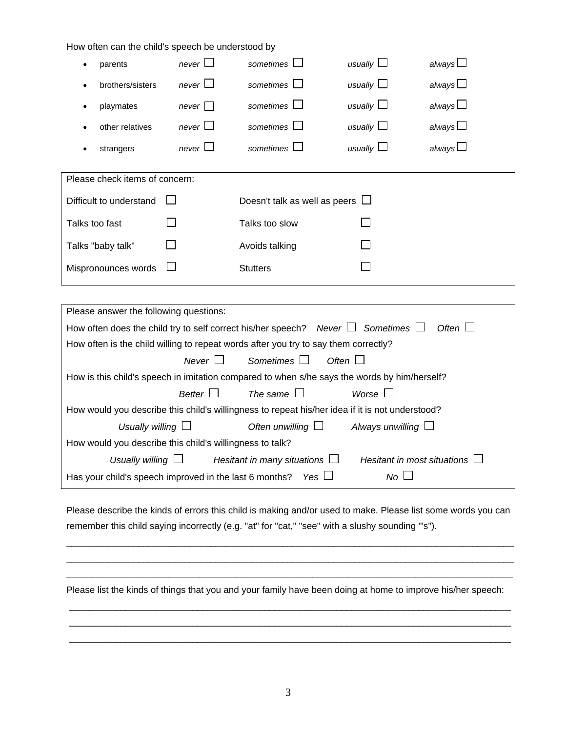| always $\Box$<br>never<br>sometimes  <br>usually $\Box$<br>parents<br>٠<br>always $\square$<br>usually $\square$<br>sometimes<br>never $\Box$<br>brothers/sisters<br>always $\square$<br>usually<br>sometimes l<br>playmates<br>never<br>$\bullet$<br>usually $\Box$<br>always $\Box$<br>never $\Box$<br>sometimes<br>other relatives<br>usually $\square$<br>always $\square$<br>sometimes L<br>never $\Box$<br>strangers<br>Please check items of concern:<br>Difficult to understand<br>Doesn't talk as well as peers $\Box$<br>Talks too fast<br>Talks too slow<br>Talks "baby talk"<br>Avoids talking<br>Mispronounces words<br><b>Stutters</b><br>Please answer the following questions:<br>Often $\square$<br>How often does the child try to self correct his/her speech? Never $\Box$ Sometimes $\Box$<br>How often is the child willing to repeat words after you try to say them correctly?<br>Never $\Box$<br>Sometimes $\Box$<br>Often $\Box$<br>How is this child's speech in imitation compared to when s/he says the words by him/herself?<br>Better $\square$<br>The same $\square$<br>Worse $\square$<br>How would you describe this child's willingness to repeat his/her idea if it is not understood?<br>Often unwilling $\Box$<br>Usually willing $\Box$<br>Always unwilling $\Box$<br>How would you describe this child's willingness to talk?<br>Usually willing $\Box$<br>Hesitant in many situations $\Box$<br>Hesitant in most situations $\Box$<br>$No \Box$<br>Has your child's speech improved in the last 6 months?<br>Yes $\Box$ | How often can the child's speech be understood by |  |  |
|------------------------------------------------------------------------------------------------------------------------------------------------------------------------------------------------------------------------------------------------------------------------------------------------------------------------------------------------------------------------------------------------------------------------------------------------------------------------------------------------------------------------------------------------------------------------------------------------------------------------------------------------------------------------------------------------------------------------------------------------------------------------------------------------------------------------------------------------------------------------------------------------------------------------------------------------------------------------------------------------------------------------------------------------------------------------------------------------------------------------------------------------------------------------------------------------------------------------------------------------------------------------------------------------------------------------------------------------------------------------------------------------------------------------------------------------------------------------------------------------------------------------------------------------------------------|---------------------------------------------------|--|--|
|                                                                                                                                                                                                                                                                                                                                                                                                                                                                                                                                                                                                                                                                                                                                                                                                                                                                                                                                                                                                                                                                                                                                                                                                                                                                                                                                                                                                                                                                                                                                                                  |                                                   |  |  |
|                                                                                                                                                                                                                                                                                                                                                                                                                                                                                                                                                                                                                                                                                                                                                                                                                                                                                                                                                                                                                                                                                                                                                                                                                                                                                                                                                                                                                                                                                                                                                                  |                                                   |  |  |
|                                                                                                                                                                                                                                                                                                                                                                                                                                                                                                                                                                                                                                                                                                                                                                                                                                                                                                                                                                                                                                                                                                                                                                                                                                                                                                                                                                                                                                                                                                                                                                  |                                                   |  |  |
|                                                                                                                                                                                                                                                                                                                                                                                                                                                                                                                                                                                                                                                                                                                                                                                                                                                                                                                                                                                                                                                                                                                                                                                                                                                                                                                                                                                                                                                                                                                                                                  |                                                   |  |  |
|                                                                                                                                                                                                                                                                                                                                                                                                                                                                                                                                                                                                                                                                                                                                                                                                                                                                                                                                                                                                                                                                                                                                                                                                                                                                                                                                                                                                                                                                                                                                                                  |                                                   |  |  |
|                                                                                                                                                                                                                                                                                                                                                                                                                                                                                                                                                                                                                                                                                                                                                                                                                                                                                                                                                                                                                                                                                                                                                                                                                                                                                                                                                                                                                                                                                                                                                                  |                                                   |  |  |
|                                                                                                                                                                                                                                                                                                                                                                                                                                                                                                                                                                                                                                                                                                                                                                                                                                                                                                                                                                                                                                                                                                                                                                                                                                                                                                                                                                                                                                                                                                                                                                  |                                                   |  |  |
|                                                                                                                                                                                                                                                                                                                                                                                                                                                                                                                                                                                                                                                                                                                                                                                                                                                                                                                                                                                                                                                                                                                                                                                                                                                                                                                                                                                                                                                                                                                                                                  |                                                   |  |  |
|                                                                                                                                                                                                                                                                                                                                                                                                                                                                                                                                                                                                                                                                                                                                                                                                                                                                                                                                                                                                                                                                                                                                                                                                                                                                                                                                                                                                                                                                                                                                                                  |                                                   |  |  |
|                                                                                                                                                                                                                                                                                                                                                                                                                                                                                                                                                                                                                                                                                                                                                                                                                                                                                                                                                                                                                                                                                                                                                                                                                                                                                                                                                                                                                                                                                                                                                                  |                                                   |  |  |
|                                                                                                                                                                                                                                                                                                                                                                                                                                                                                                                                                                                                                                                                                                                                                                                                                                                                                                                                                                                                                                                                                                                                                                                                                                                                                                                                                                                                                                                                                                                                                                  |                                                   |  |  |
|                                                                                                                                                                                                                                                                                                                                                                                                                                                                                                                                                                                                                                                                                                                                                                                                                                                                                                                                                                                                                                                                                                                                                                                                                                                                                                                                                                                                                                                                                                                                                                  |                                                   |  |  |
|                                                                                                                                                                                                                                                                                                                                                                                                                                                                                                                                                                                                                                                                                                                                                                                                                                                                                                                                                                                                                                                                                                                                                                                                                                                                                                                                                                                                                                                                                                                                                                  |                                                   |  |  |
|                                                                                                                                                                                                                                                                                                                                                                                                                                                                                                                                                                                                                                                                                                                                                                                                                                                                                                                                                                                                                                                                                                                                                                                                                                                                                                                                                                                                                                                                                                                                                                  |                                                   |  |  |
|                                                                                                                                                                                                                                                                                                                                                                                                                                                                                                                                                                                                                                                                                                                                                                                                                                                                                                                                                                                                                                                                                                                                                                                                                                                                                                                                                                                                                                                                                                                                                                  |                                                   |  |  |
|                                                                                                                                                                                                                                                                                                                                                                                                                                                                                                                                                                                                                                                                                                                                                                                                                                                                                                                                                                                                                                                                                                                                                                                                                                                                                                                                                                                                                                                                                                                                                                  |                                                   |  |  |
|                                                                                                                                                                                                                                                                                                                                                                                                                                                                                                                                                                                                                                                                                                                                                                                                                                                                                                                                                                                                                                                                                                                                                                                                                                                                                                                                                                                                                                                                                                                                                                  |                                                   |  |  |
|                                                                                                                                                                                                                                                                                                                                                                                                                                                                                                                                                                                                                                                                                                                                                                                                                                                                                                                                                                                                                                                                                                                                                                                                                                                                                                                                                                                                                                                                                                                                                                  |                                                   |  |  |
|                                                                                                                                                                                                                                                                                                                                                                                                                                                                                                                                                                                                                                                                                                                                                                                                                                                                                                                                                                                                                                                                                                                                                                                                                                                                                                                                                                                                                                                                                                                                                                  |                                                   |  |  |
|                                                                                                                                                                                                                                                                                                                                                                                                                                                                                                                                                                                                                                                                                                                                                                                                                                                                                                                                                                                                                                                                                                                                                                                                                                                                                                                                                                                                                                                                                                                                                                  |                                                   |  |  |
|                                                                                                                                                                                                                                                                                                                                                                                                                                                                                                                                                                                                                                                                                                                                                                                                                                                                                                                                                                                                                                                                                                                                                                                                                                                                                                                                                                                                                                                                                                                                                                  |                                                   |  |  |
|                                                                                                                                                                                                                                                                                                                                                                                                                                                                                                                                                                                                                                                                                                                                                                                                                                                                                                                                                                                                                                                                                                                                                                                                                                                                                                                                                                                                                                                                                                                                                                  |                                                   |  |  |

Please describe the kinds of errors this child is making and/or used to make. Please list some words you can remember this child saying incorrectly (e.g. "at" for "cat," "see" with a slushy sounding '"s").

 $\Box$  $\Box$ *\_\_\_\_\_\_\_\_\_\_\_\_\_\_\_\_\_\_\_\_\_\_\_\_\_\_\_\_\_\_\_\_\_\_\_\_\_\_\_\_\_\_\_\_\_\_\_\_\_\_\_\_\_\_\_\_\_\_\_\_\_\_\_\_\_\_\_\_\_\_\_\_\_\_\_\_\_\_\_\_\_\_\_\_\_\_\_* 

Please list the kinds of things that you and your family have been doing at home to improve his/her speech:

 \_\_\_\_\_\_\_\_\_\_\_\_\_\_\_\_\_\_\_\_\_\_\_\_\_\_\_\_\_\_\_\_\_\_\_\_\_\_\_\_\_\_\_\_\_\_\_\_\_\_\_\_\_\_\_\_\_\_\_\_\_\_\_\_\_\_\_\_\_\_\_\_\_\_\_\_\_\_\_\_\_\_\_\_\_\_ \_\_\_\_\_\_\_\_\_\_\_\_\_\_\_\_\_\_\_\_\_\_\_\_\_\_\_\_\_\_\_\_\_\_\_\_\_\_\_\_\_\_\_\_\_\_\_\_\_\_\_\_\_\_\_\_\_\_\_\_\_\_\_\_\_\_\_\_\_\_\_\_\_\_\_\_\_\_\_\_\_\_\_\_\_\_ \_\_\_\_\_\_\_\_\_\_\_\_\_\_\_\_\_\_\_\_\_\_\_\_\_\_\_\_\_\_\_\_\_\_\_\_\_\_\_\_\_\_\_\_\_\_\_\_\_\_\_\_\_\_\_\_\_\_\_\_\_\_\_\_\_\_\_\_\_\_\_\_\_\_\_\_\_\_\_\_\_\_\_\_\_\_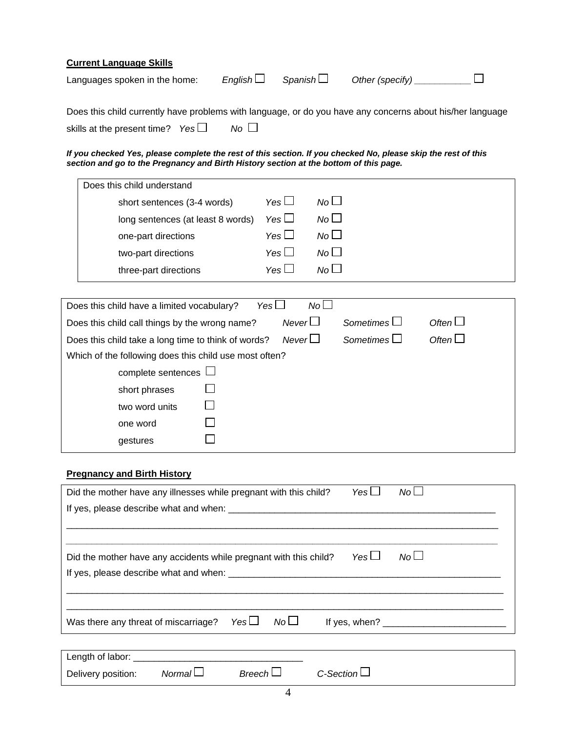| <b>Current Language Skills</b>                                                                            |         |          |  |
|-----------------------------------------------------------------------------------------------------------|---------|----------|--|
| Languages spoken in the home:                                                                             | English | Spanish∐ |  |
| Does this child currently have problems with language, or do you have any concerns about his/her language |         |          |  |

skills at the present time? *Yes No*

#### *If you checked Yes, please complete the rest of this section. If you checked No, please skip the rest of this section and go to the Pregnancy and Birth History section at the bottom of this page.*

| Does this child understand                               |                                                        |
|----------------------------------------------------------|--------------------------------------------------------|
| Yes $\Box$<br>short sentences (3-4 words)                | $No$ $\Box$                                            |
| Yes $\Box$<br>long sentences (at least 8 words)          | No <sub>1</sub>                                        |
| Yes $\Box$<br>one-part directions                        | $N_O$                                                  |
| Yes $\Box$<br>two-part directions                        | No <sub>1</sub>                                        |
| Yes $\Box$<br>three-part directions                      | No <sub>1</sub>                                        |
|                                                          |                                                        |
| Yes $\Box$<br>Does this child have a limited vocabulary? | $No$ $\Box$                                            |
| Does this child call things by the wrong name?           | Never<br>Sometimes $\Box$<br>Often $\Box$              |
| Does this child take a long time to think of words?      | Often $\square$<br>Never $\Box$<br>Sometimes $\square$ |
| Which of the following does this child use most often?   |                                                        |
| complete sentences $\Box$                                |                                                        |
| short phrases                                            |                                                        |
| two word units                                           |                                                        |
| one word                                                 |                                                        |
| gestures                                                 |                                                        |
|                                                          |                                                        |

# **Pregnancy and Birth History**

| Did the mother have any illnesses while pregnant with this child? | Yes $\Box$<br>$No$ $\Box$                                               |
|-------------------------------------------------------------------|-------------------------------------------------------------------------|
|                                                                   |                                                                         |
|                                                                   |                                                                         |
|                                                                   |                                                                         |
| Did the mother have any accidents while pregnant with this child? | No <sub>1</sub><br>Yes $\Box$                                           |
|                                                                   |                                                                         |
|                                                                   |                                                                         |
|                                                                   |                                                                         |
| Yes $\Box$<br>Was there any threat of miscarriage?                | No <sub>1</sub><br>If yes, when? $\frac{1}{2}$ is the set of yes, when? |
|                                                                   |                                                                         |
|                                                                   |                                                                         |
| Normal<br>Breech<br>Delivery position:                            | C-Section                                                               |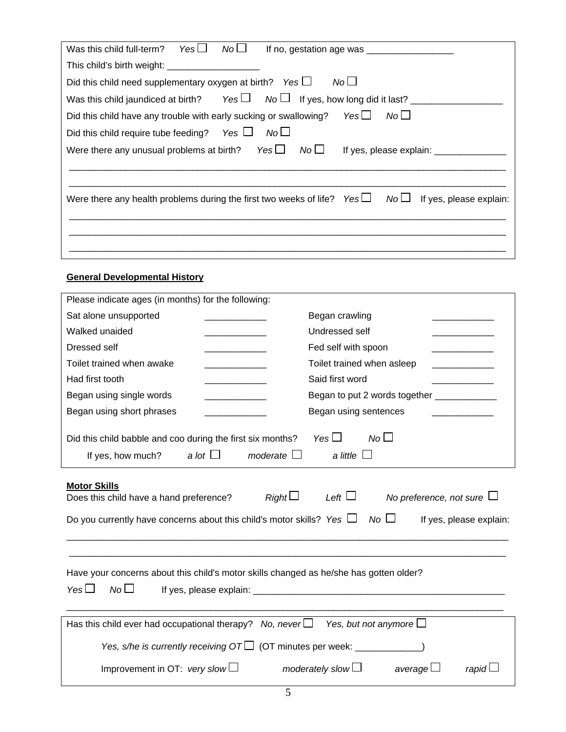| $Yes \Box$<br>No L<br>Was this child full-term?<br>If no, gestation age was $\frac{1}{2}$                                   |
|-----------------------------------------------------------------------------------------------------------------------------|
| This child's birth weight: _______________________                                                                          |
| Did this child need supplementary oxygen at birth? Yes $\Box$<br>No <sub>1</sub>                                            |
| Was this child jaundiced at birth? Yes $\Box$ No $\Box$ If yes, how long did it last?                                       |
| No <sub>1</sub><br>Yes $\Box$<br>Did this child have any trouble with early sucking or swallowing?                          |
| No <sub>1</sub><br>Did this child require tube feeding? Yes $\Box$                                                          |
| Were there any unusual problems at birth? Yes $\Box$<br>No <sub>1</sub><br>If yes, please explain: ________________         |
|                                                                                                                             |
|                                                                                                                             |
| Were there any health problems during the first two weeks of life? $Yes \Box$<br>No <sub>1</sub><br>If yes, please explain: |
|                                                                                                                             |
|                                                                                                                             |
|                                                                                                                             |

# **General Developmental History**

| Please indicate ages (in months) for the following:                                                                                                   |                                                                                       |
|-------------------------------------------------------------------------------------------------------------------------------------------------------|---------------------------------------------------------------------------------------|
| Sat alone unsupported                                                                                                                                 | Began crawling                                                                        |
| Walked unaided                                                                                                                                        | Undressed self                                                                        |
| Dressed self<br>and the company of the company of                                                                                                     | Fed self with spoon                                                                   |
| Toilet trained when awake                                                                                                                             | Toilet trained when asleep                                                            |
| Had first tooth                                                                                                                                       | Said first word                                                                       |
| Began using single words                                                                                                                              | Began to put 2 words together _____________                                           |
| Began using short phrases                                                                                                                             | Began using sentences                                                                 |
| Did this child babble and coo during the first six months?                                                                                            | Yes $\square$<br>No                                                                   |
| If yes, how much? a lot $\Box$<br>moderate $\square$                                                                                                  | a little $\Box$                                                                       |
|                                                                                                                                                       |                                                                                       |
| <b>Motor Skills</b><br>Right<br>Does this child have a hand preference?<br>Do you currently have concerns about this child's motor skills? Yes $\Box$ | Left $\Box$<br>No preference, not sure $\Box$<br>$No \Box$<br>If yes, please explain: |
| Have your concerns about this child's motor skills changed as he/she has gotten older?<br>No <sub>1</sub><br>Yes $\Box$                               |                                                                                       |
| Has this child ever had occupational therapy? No, never $\Box$                                                                                        | Yes, but not anymore $\Box$                                                           |
| Yes, s/he is currently receiving $OT\square$ (OT minutes per week: __________                                                                         |                                                                                       |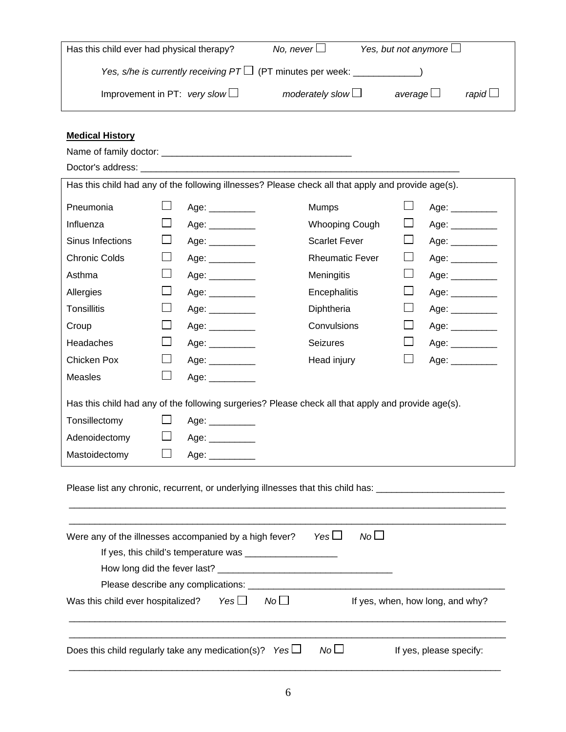| Has this child ever had physical therapy?                              | No, never $\Box$          | Yes, but not anymore $\Box$ |              |
|------------------------------------------------------------------------|---------------------------|-----------------------------|--------------|
| Yes, s/he is currently receiving $PT\Box$ (PT minutes per week: $\Box$ |                           |                             |              |
| Improvement in PT: very slow $\Box$                                    | moderately slow $\square$ | average $\Box$              | rapid $\Box$ |

# **Medical History**

|                      |              | Has this child had any of the following illnesses? Please check all that apply and provide age(s). |                        |         |                               |
|----------------------|--------------|----------------------------------------------------------------------------------------------------|------------------------|---------|-------------------------------|
| Pneumonia            | $\Box$       | Age: __________                                                                                    | Mumps                  | $\Box$  | Age: $\_\_$                   |
| Influenza            | $\Box$       | Age: $\_\_$                                                                                        | <b>Whooping Cough</b>  | ப       | Age: $\_\_$                   |
| Sinus Infections     | $\Box$       | Age: $\qquad \qquad$                                                                               | <b>Scarlet Fever</b>   | ப       | Age: $\_\_\_\_\_\_\_\_\_\_\_$ |
| <b>Chronic Colds</b> | ப            | Age: $\_\_$                                                                                        | <b>Rheumatic Fever</b> | ⊔       | Age: $\_\_$                   |
| Asthma               | $\Box$       | Age: $\frac{1}{2}$                                                                                 | Meningitis             | ப       | Age: $\frac{1}{2}$            |
| Allergies            | $\Box$       | Age: $\qquad \qquad$                                                                               | Encephalitis           | $\Box$  | Age: $\frac{1}{2}$            |
| <b>Tonsillitis</b>   | ப            | Age: $\frac{1}{2}$                                                                                 | Diphtheria             | ப       | Age: $\_\_$                   |
| Croup                | $\Box$       | Age: __________                                                                                    | Convulsions            | $\Box$  | Age: $\_\_$                   |
| Headaches            | $\Box$       | Age: $\_\_$                                                                                        | <b>Seizures</b>        | $\Box$  | Age: __________               |
| Chicken Pox          | ⊔            | Age: $\_\_$                                                                                        | Head injury            | $\perp$ | Age: _________                |
| <b>Measles</b>       | $\mathsf{L}$ | Age: $\qquad \qquad$                                                                               |                        |         |                               |
|                      |              | Has this child had any of the following surgeries? Please check all that apply and provide age(s). |                        |         |                               |
| Tonsillectomy        | $\Box$       | Age: __________                                                                                    |                        |         |                               |
| Adenoidectomy        | ப            | Age: $\_\_$                                                                                        |                        |         |                               |
| Mastoidectomy        | $\Box$       | Age: $\_\_$                                                                                        |                        |         |                               |
|                      |              | Please list any chronic, recurrent, or underlying illnesses that this child has:                   |                        |         |                               |

| Were any of the illnesses accompanied by a high fever?             | Yes L           | No <sub>l</sub>                  |
|--------------------------------------------------------------------|-----------------|----------------------------------|
|                                                                    |                 |                                  |
|                                                                    |                 |                                  |
| Please describe any complications:                                 |                 |                                  |
| No <sub>1</sub><br>$Yes \Box$<br>Was this child ever hospitalized? |                 | If yes, when, how long, and why? |
|                                                                    |                 |                                  |
| Does this child regularly take any medication(s)? Yes $\Box$       | No <sub>1</sub> | If yes, please specify:          |

\_\_\_\_\_\_\_\_\_\_\_\_\_\_\_\_\_\_\_\_\_\_\_\_\_\_\_\_\_\_\_\_\_\_\_\_\_\_\_\_\_\_\_\_\_\_\_\_\_\_\_\_\_\_\_\_\_\_\_\_\_\_\_\_\_\_\_\_\_\_\_\_\_\_\_\_\_\_\_\_\_\_\_\_\_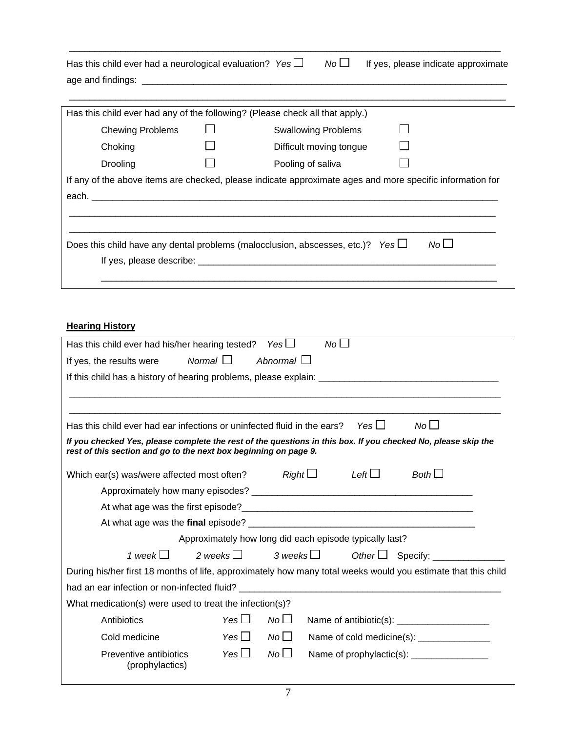| Has this child ever had a neurological evaluation? Yes $\Box$ |  | $N_o \Box$ If yes, please indicate approximate |
|---------------------------------------------------------------|--|------------------------------------------------|
| age and findings:                                             |  |                                                |

\_\_\_\_\_\_\_\_\_\_\_\_\_\_\_\_\_\_\_\_\_\_\_\_\_\_\_\_\_\_\_\_\_\_\_\_\_\_\_\_\_\_\_\_\_\_\_\_\_\_\_\_\_\_\_\_\_\_\_\_\_\_\_\_\_\_\_\_\_\_\_\_\_\_\_\_\_\_\_\_\_\_\_\_

|                                                                                                                                                                                                                                |  | Has this child ever had any of the following? (Please check all that apply.) |  |  |  |  |
|--------------------------------------------------------------------------------------------------------------------------------------------------------------------------------------------------------------------------------|--|------------------------------------------------------------------------------|--|--|--|--|
| <b>Chewing Problems</b>                                                                                                                                                                                                        |  | <b>Swallowing Problems</b>                                                   |  |  |  |  |
| Choking                                                                                                                                                                                                                        |  | Difficult moving tongue                                                      |  |  |  |  |
| Drooling                                                                                                                                                                                                                       |  | Pooling of saliva                                                            |  |  |  |  |
| If any of the above items are checked, please indicate approximate ages and more specific information for                                                                                                                      |  |                                                                              |  |  |  |  |
| each. The contract of the contract of the contract of the contract of the contract of the contract of the contract of the contract of the contract of the contract of the contract of the contract of the contract of the cont |  |                                                                              |  |  |  |  |
|                                                                                                                                                                                                                                |  |                                                                              |  |  |  |  |
|                                                                                                                                                                                                                                |  |                                                                              |  |  |  |  |
| No<br>Does this child have any dental problems (malocclusion, abscesses, etc.)? Yes $\Box$                                                                                                                                     |  |                                                                              |  |  |  |  |
| If yes, please describe: __________                                                                                                                                                                                            |  |                                                                              |  |  |  |  |
|                                                                                                                                                                                                                                |  |                                                                              |  |  |  |  |

# **Hearing History**

| No <sub>1</sub><br>Has this child ever had his/her hearing tested? Yes $\Box$                                             |  |  |  |  |  |  |
|---------------------------------------------------------------------------------------------------------------------------|--|--|--|--|--|--|
| Normal $\Box$<br>Abnormal $\Box$<br>If yes, the results were                                                              |  |  |  |  |  |  |
|                                                                                                                           |  |  |  |  |  |  |
|                                                                                                                           |  |  |  |  |  |  |
|                                                                                                                           |  |  |  |  |  |  |
| No <sub>1</sub><br>Yes $\Box$<br>Has this child ever had ear infections or uninfected fluid in the ears?                  |  |  |  |  |  |  |
| If you checked Yes, please complete the rest of the questions in this box. If you checked No, please skip the             |  |  |  |  |  |  |
| rest of this section and go to the next box beginning on page 9.                                                          |  |  |  |  |  |  |
| Left $\Box$<br>Which ear(s) was/were affected most often? $Right \Box$<br>$Both \Box$                                     |  |  |  |  |  |  |
|                                                                                                                           |  |  |  |  |  |  |
|                                                                                                                           |  |  |  |  |  |  |
|                                                                                                                           |  |  |  |  |  |  |
| Approximately how long did each episode typically last?                                                                   |  |  |  |  |  |  |
| 3 weeks $\Box$<br>1 week $\Box$<br>2 weeks $\Box$<br>Other $\Box$ Specify: $\_\_\_\_\_\_\_\_\_\_\_\_\_\_\_\_\_\_\_\_\_\_$ |  |  |  |  |  |  |
| During his/her first 18 months of life, approximately how many total weeks would you estimate that this child             |  |  |  |  |  |  |
|                                                                                                                           |  |  |  |  |  |  |
| What medication(s) were used to treat the infection(s)?                                                                   |  |  |  |  |  |  |
| Yes $\Box$<br>No <sub>l</sub><br>Antibiotics                                                                              |  |  |  |  |  |  |
| Yes $\Box$<br>$No$ $\Box$<br>Name of cold medicine(s): _______________<br>Cold medicine                                   |  |  |  |  |  |  |
| $No\square$<br>Yes $\square$<br>Preventive antibiotics                                                                    |  |  |  |  |  |  |
| (prophylactics)                                                                                                           |  |  |  |  |  |  |
|                                                                                                                           |  |  |  |  |  |  |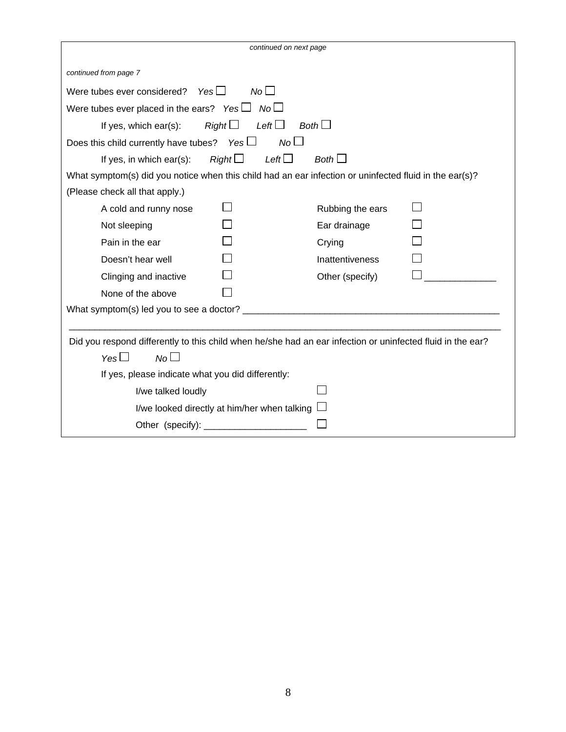| continued on next page                                                                                     |                            |                        |  |  |  |
|------------------------------------------------------------------------------------------------------------|----------------------------|------------------------|--|--|--|
| continued from page 7                                                                                      |                            |                        |  |  |  |
| Yes $\Box$<br>Were tubes ever considered?                                                                  | $N_O$                      |                        |  |  |  |
| Were tubes ever placed in the ears? Yes $\Box$ No $\Box$                                                   |                            |                        |  |  |  |
| Right<br>If yes, which $ear(s)$ :                                                                          | Left $\Box$<br>Both $\Box$ |                        |  |  |  |
| Does this child currently have tubes? Yes $\Box$                                                           | No <sub>1</sub>            |                        |  |  |  |
| Right<br>If yes, in which ear(s):                                                                          | Left $\Box$                | Both $\Box$            |  |  |  |
| What symptom(s) did you notice when this child had an ear infection or uninfected fluid in the ear(s)?     |                            |                        |  |  |  |
| (Please check all that apply.)                                                                             |                            |                        |  |  |  |
| A cold and runny nose                                                                                      |                            | Rubbing the ears       |  |  |  |
| Not sleeping                                                                                               |                            | Ear drainage           |  |  |  |
| Pain in the ear                                                                                            |                            | Crying                 |  |  |  |
| Doesn't hear well                                                                                          |                            | <b>Inattentiveness</b> |  |  |  |
| Clinging and inactive                                                                                      |                            | Other (specify)        |  |  |  |
| None of the above                                                                                          |                            |                        |  |  |  |
|                                                                                                            |                            |                        |  |  |  |
|                                                                                                            |                            |                        |  |  |  |
| Did you respond differently to this child when he/she had an ear infection or uninfected fluid in the ear? |                            |                        |  |  |  |
| Yes<br>No <sub>l</sub>                                                                                     |                            |                        |  |  |  |
| If yes, please indicate what you did differently:                                                          |                            |                        |  |  |  |
| I/we talked loudly                                                                                         |                            |                        |  |  |  |
| I/we looked directly at him/her when talking                                                               |                            |                        |  |  |  |
| Other (specify): ___________                                                                               |                            |                        |  |  |  |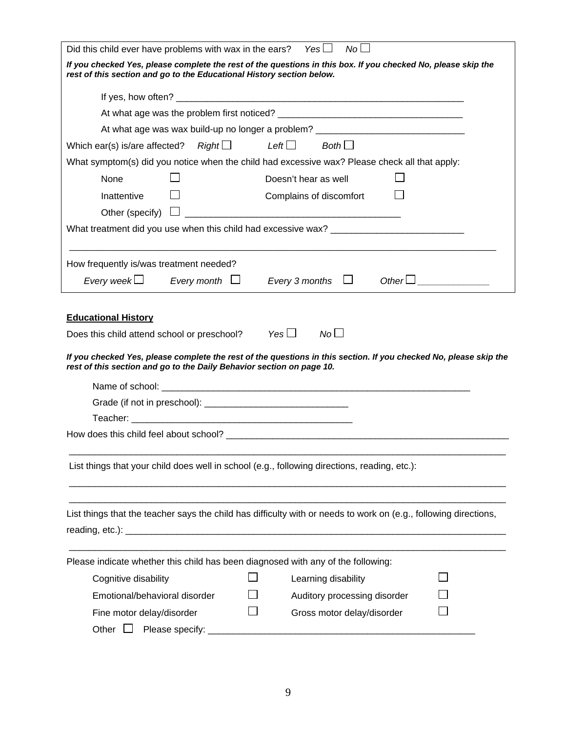| No <sub>1</sub><br>Did this child ever have problems with wax in the ears?<br>Yes $\Box$<br>If you checked Yes, please complete the rest of the questions in this box. If you checked No, please skip the<br>rest of this section and go to the Educational History section below.<br>At what age was wax build-up no longer a problem? ______________________________<br>$Right \Box$ Left $\Box$ Both $\Box$<br>Which ear(s) is/are affected?<br>What symptom(s) did you notice when the child had excessive wax? Please check all that apply:<br>None<br>Doesn't hear as well<br>Inattentive<br>Complains of discomfort<br>What treatment did you use when this child had excessive wax? ___________________<br>How frequently is/was treatment needed?<br>Every 3 months $\Box$<br>$Other \Box$<br>Every week $\Box$<br>Every month $\Box$<br><b>Educational History</b><br>No <sub>1</sub><br>Yes $\Box$<br>Does this child attend school or preschool?<br>If you checked Yes, please complete the rest of the questions in this section. If you checked No, please skip the<br>rest of this section and go to the Daily Behavior section on page 10.<br>List things that your child does well in school (e.g., following directions, reading, etc.):<br>List things that the teacher says the child has difficulty with or needs to work on (e.g., following directions,<br>Please indicate whether this child has been diagnosed with any of the following:<br>Cognitive disability<br>Learning disability<br>Emotional/behavioral disorder<br>Auditory processing disorder<br>Gross motor delay/disorder<br>Fine motor delay/disorder |  |  |  |  |  |  |  |  |
|-----------------------------------------------------------------------------------------------------------------------------------------------------------------------------------------------------------------------------------------------------------------------------------------------------------------------------------------------------------------------------------------------------------------------------------------------------------------------------------------------------------------------------------------------------------------------------------------------------------------------------------------------------------------------------------------------------------------------------------------------------------------------------------------------------------------------------------------------------------------------------------------------------------------------------------------------------------------------------------------------------------------------------------------------------------------------------------------------------------------------------------------------------------------------------------------------------------------------------------------------------------------------------------------------------------------------------------------------------------------------------------------------------------------------------------------------------------------------------------------------------------------------------------------------------------------------------------------------------------------------------------------------|--|--|--|--|--|--|--|--|
|                                                                                                                                                                                                                                                                                                                                                                                                                                                                                                                                                                                                                                                                                                                                                                                                                                                                                                                                                                                                                                                                                                                                                                                                                                                                                                                                                                                                                                                                                                                                                                                                                                               |  |  |  |  |  |  |  |  |
|                                                                                                                                                                                                                                                                                                                                                                                                                                                                                                                                                                                                                                                                                                                                                                                                                                                                                                                                                                                                                                                                                                                                                                                                                                                                                                                                                                                                                                                                                                                                                                                                                                               |  |  |  |  |  |  |  |  |
|                                                                                                                                                                                                                                                                                                                                                                                                                                                                                                                                                                                                                                                                                                                                                                                                                                                                                                                                                                                                                                                                                                                                                                                                                                                                                                                                                                                                                                                                                                                                                                                                                                               |  |  |  |  |  |  |  |  |
|                                                                                                                                                                                                                                                                                                                                                                                                                                                                                                                                                                                                                                                                                                                                                                                                                                                                                                                                                                                                                                                                                                                                                                                                                                                                                                                                                                                                                                                                                                                                                                                                                                               |  |  |  |  |  |  |  |  |
|                                                                                                                                                                                                                                                                                                                                                                                                                                                                                                                                                                                                                                                                                                                                                                                                                                                                                                                                                                                                                                                                                                                                                                                                                                                                                                                                                                                                                                                                                                                                                                                                                                               |  |  |  |  |  |  |  |  |
|                                                                                                                                                                                                                                                                                                                                                                                                                                                                                                                                                                                                                                                                                                                                                                                                                                                                                                                                                                                                                                                                                                                                                                                                                                                                                                                                                                                                                                                                                                                                                                                                                                               |  |  |  |  |  |  |  |  |
|                                                                                                                                                                                                                                                                                                                                                                                                                                                                                                                                                                                                                                                                                                                                                                                                                                                                                                                                                                                                                                                                                                                                                                                                                                                                                                                                                                                                                                                                                                                                                                                                                                               |  |  |  |  |  |  |  |  |
|                                                                                                                                                                                                                                                                                                                                                                                                                                                                                                                                                                                                                                                                                                                                                                                                                                                                                                                                                                                                                                                                                                                                                                                                                                                                                                                                                                                                                                                                                                                                                                                                                                               |  |  |  |  |  |  |  |  |
|                                                                                                                                                                                                                                                                                                                                                                                                                                                                                                                                                                                                                                                                                                                                                                                                                                                                                                                                                                                                                                                                                                                                                                                                                                                                                                                                                                                                                                                                                                                                                                                                                                               |  |  |  |  |  |  |  |  |
|                                                                                                                                                                                                                                                                                                                                                                                                                                                                                                                                                                                                                                                                                                                                                                                                                                                                                                                                                                                                                                                                                                                                                                                                                                                                                                                                                                                                                                                                                                                                                                                                                                               |  |  |  |  |  |  |  |  |
|                                                                                                                                                                                                                                                                                                                                                                                                                                                                                                                                                                                                                                                                                                                                                                                                                                                                                                                                                                                                                                                                                                                                                                                                                                                                                                                                                                                                                                                                                                                                                                                                                                               |  |  |  |  |  |  |  |  |
|                                                                                                                                                                                                                                                                                                                                                                                                                                                                                                                                                                                                                                                                                                                                                                                                                                                                                                                                                                                                                                                                                                                                                                                                                                                                                                                                                                                                                                                                                                                                                                                                                                               |  |  |  |  |  |  |  |  |
|                                                                                                                                                                                                                                                                                                                                                                                                                                                                                                                                                                                                                                                                                                                                                                                                                                                                                                                                                                                                                                                                                                                                                                                                                                                                                                                                                                                                                                                                                                                                                                                                                                               |  |  |  |  |  |  |  |  |
|                                                                                                                                                                                                                                                                                                                                                                                                                                                                                                                                                                                                                                                                                                                                                                                                                                                                                                                                                                                                                                                                                                                                                                                                                                                                                                                                                                                                                                                                                                                                                                                                                                               |  |  |  |  |  |  |  |  |
|                                                                                                                                                                                                                                                                                                                                                                                                                                                                                                                                                                                                                                                                                                                                                                                                                                                                                                                                                                                                                                                                                                                                                                                                                                                                                                                                                                                                                                                                                                                                                                                                                                               |  |  |  |  |  |  |  |  |
|                                                                                                                                                                                                                                                                                                                                                                                                                                                                                                                                                                                                                                                                                                                                                                                                                                                                                                                                                                                                                                                                                                                                                                                                                                                                                                                                                                                                                                                                                                                                                                                                                                               |  |  |  |  |  |  |  |  |
|                                                                                                                                                                                                                                                                                                                                                                                                                                                                                                                                                                                                                                                                                                                                                                                                                                                                                                                                                                                                                                                                                                                                                                                                                                                                                                                                                                                                                                                                                                                                                                                                                                               |  |  |  |  |  |  |  |  |
|                                                                                                                                                                                                                                                                                                                                                                                                                                                                                                                                                                                                                                                                                                                                                                                                                                                                                                                                                                                                                                                                                                                                                                                                                                                                                                                                                                                                                                                                                                                                                                                                                                               |  |  |  |  |  |  |  |  |
|                                                                                                                                                                                                                                                                                                                                                                                                                                                                                                                                                                                                                                                                                                                                                                                                                                                                                                                                                                                                                                                                                                                                                                                                                                                                                                                                                                                                                                                                                                                                                                                                                                               |  |  |  |  |  |  |  |  |
|                                                                                                                                                                                                                                                                                                                                                                                                                                                                                                                                                                                                                                                                                                                                                                                                                                                                                                                                                                                                                                                                                                                                                                                                                                                                                                                                                                                                                                                                                                                                                                                                                                               |  |  |  |  |  |  |  |  |
|                                                                                                                                                                                                                                                                                                                                                                                                                                                                                                                                                                                                                                                                                                                                                                                                                                                                                                                                                                                                                                                                                                                                                                                                                                                                                                                                                                                                                                                                                                                                                                                                                                               |  |  |  |  |  |  |  |  |
|                                                                                                                                                                                                                                                                                                                                                                                                                                                                                                                                                                                                                                                                                                                                                                                                                                                                                                                                                                                                                                                                                                                                                                                                                                                                                                                                                                                                                                                                                                                                                                                                                                               |  |  |  |  |  |  |  |  |
|                                                                                                                                                                                                                                                                                                                                                                                                                                                                                                                                                                                                                                                                                                                                                                                                                                                                                                                                                                                                                                                                                                                                                                                                                                                                                                                                                                                                                                                                                                                                                                                                                                               |  |  |  |  |  |  |  |  |
|                                                                                                                                                                                                                                                                                                                                                                                                                                                                                                                                                                                                                                                                                                                                                                                                                                                                                                                                                                                                                                                                                                                                                                                                                                                                                                                                                                                                                                                                                                                                                                                                                                               |  |  |  |  |  |  |  |  |
|                                                                                                                                                                                                                                                                                                                                                                                                                                                                                                                                                                                                                                                                                                                                                                                                                                                                                                                                                                                                                                                                                                                                                                                                                                                                                                                                                                                                                                                                                                                                                                                                                                               |  |  |  |  |  |  |  |  |
|                                                                                                                                                                                                                                                                                                                                                                                                                                                                                                                                                                                                                                                                                                                                                                                                                                                                                                                                                                                                                                                                                                                                                                                                                                                                                                                                                                                                                                                                                                                                                                                                                                               |  |  |  |  |  |  |  |  |
|                                                                                                                                                                                                                                                                                                                                                                                                                                                                                                                                                                                                                                                                                                                                                                                                                                                                                                                                                                                                                                                                                                                                                                                                                                                                                                                                                                                                                                                                                                                                                                                                                                               |  |  |  |  |  |  |  |  |
|                                                                                                                                                                                                                                                                                                                                                                                                                                                                                                                                                                                                                                                                                                                                                                                                                                                                                                                                                                                                                                                                                                                                                                                                                                                                                                                                                                                                                                                                                                                                                                                                                                               |  |  |  |  |  |  |  |  |
|                                                                                                                                                                                                                                                                                                                                                                                                                                                                                                                                                                                                                                                                                                                                                                                                                                                                                                                                                                                                                                                                                                                                                                                                                                                                                                                                                                                                                                                                                                                                                                                                                                               |  |  |  |  |  |  |  |  |
|                                                                                                                                                                                                                                                                                                                                                                                                                                                                                                                                                                                                                                                                                                                                                                                                                                                                                                                                                                                                                                                                                                                                                                                                                                                                                                                                                                                                                                                                                                                                                                                                                                               |  |  |  |  |  |  |  |  |
|                                                                                                                                                                                                                                                                                                                                                                                                                                                                                                                                                                                                                                                                                                                                                                                                                                                                                                                                                                                                                                                                                                                                                                                                                                                                                                                                                                                                                                                                                                                                                                                                                                               |  |  |  |  |  |  |  |  |
|                                                                                                                                                                                                                                                                                                                                                                                                                                                                                                                                                                                                                                                                                                                                                                                                                                                                                                                                                                                                                                                                                                                                                                                                                                                                                                                                                                                                                                                                                                                                                                                                                                               |  |  |  |  |  |  |  |  |
| Please specify:<br>Other $\Box$                                                                                                                                                                                                                                                                                                                                                                                                                                                                                                                                                                                                                                                                                                                                                                                                                                                                                                                                                                                                                                                                                                                                                                                                                                                                                                                                                                                                                                                                                                                                                                                                               |  |  |  |  |  |  |  |  |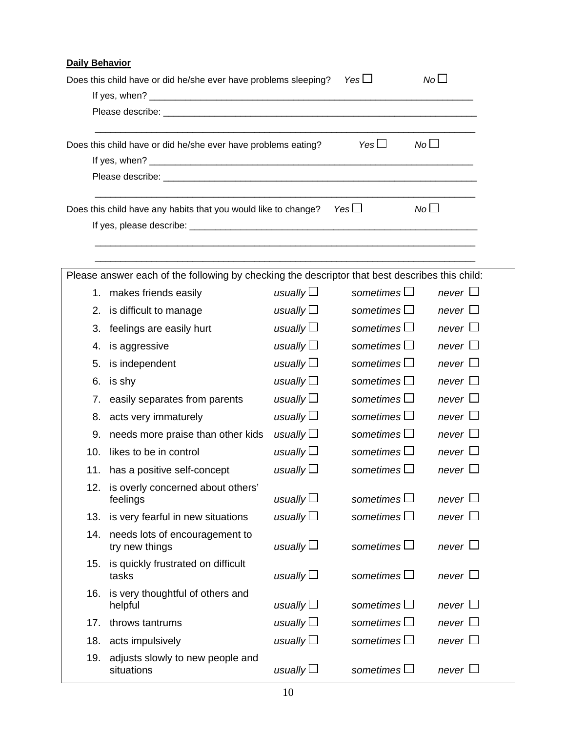| <b>Daily Behavior</b> |                                                                                                                                                                                                                                |                   |                               |              |  |  |
|-----------------------|--------------------------------------------------------------------------------------------------------------------------------------------------------------------------------------------------------------------------------|-------------------|-------------------------------|--------------|--|--|
|                       | Does this child have or did he/she ever have problems sleeping?                                                                                                                                                                |                   | Yes $\Box$                    | $N_0 \Box$   |  |  |
|                       |                                                                                                                                                                                                                                |                   |                               |              |  |  |
|                       | Please describe: the contract of the contract of the contract of the contract of the contract of the contract of the contract of the contract of the contract of the contract of the contract of the contract of the contract  |                   |                               |              |  |  |
|                       | Does this child have or did he/she ever have problems eating?                                                                                                                                                                  |                   | No<br>Yes $\Box$              |              |  |  |
|                       |                                                                                                                                                                                                                                |                   |                               |              |  |  |
|                       | Please describe: etc. and a state of the state of the state of the state of the state of the state of the state of the state of the state of the state of the state of the state of the state of the state of the state of the |                   |                               |              |  |  |
|                       | Does this child have any habits that you would like to change?                                                                                                                                                                 |                   | No <sub>l</sub><br>Yes $\Box$ |              |  |  |
|                       |                                                                                                                                                                                                                                |                   |                               |              |  |  |
|                       |                                                                                                                                                                                                                                |                   |                               |              |  |  |
|                       | Please answer each of the following by checking the descriptor that best describes this child:                                                                                                                                 |                   |                               |              |  |  |
|                       | 1. makes friends easily                                                                                                                                                                                                        | usually $\Box$    | sometimes $\Box$              | never $\Box$ |  |  |
|                       | 2. is difficult to manage                                                                                                                                                                                                      | usually $\square$ | sometimes $\square$           | never $\Box$ |  |  |
| 3.                    | feelings are easily hurt                                                                                                                                                                                                       | usually $\square$ | sometimes $\square$           | never $\Box$ |  |  |
| 4.                    | is aggressive                                                                                                                                                                                                                  | usually $\square$ | sometimes $\square$           | never $\Box$ |  |  |
| 5.                    | is independent                                                                                                                                                                                                                 | usually $\square$ | sometimes $\square$           | never $\Box$ |  |  |
| 6.                    | is shy                                                                                                                                                                                                                         | usually           | sometimes $\square$           | never $\Box$ |  |  |
| 7.                    | easily separates from parents                                                                                                                                                                                                  | usually $\Box$    | sometimes $\Box$              | never $\Box$ |  |  |
| 8.                    | acts very immaturely                                                                                                                                                                                                           | usually $\square$ | sometimes $\Box$              | never $\Box$ |  |  |
| 9.                    | needs more praise than other kids                                                                                                                                                                                              | usually $\square$ | sometimes $\Box$              | never $\Box$ |  |  |
| 10.                   | likes to be in control                                                                                                                                                                                                         | usually $\square$ | sometimes $\square$           | never $\Box$ |  |  |
|                       | 11. has a positive self-concept                                                                                                                                                                                                | usually $\square$ | sometimes $\square$           | never $\Box$ |  |  |
|                       | 12. is overly concerned about others'<br>feelings                                                                                                                                                                              | usually $\square$ | sometimes $\Box$              | never $\Box$ |  |  |
| 13.                   | is very fearful in new situations                                                                                                                                                                                              | usually $\square$ | sometimes $\square$           | never $\Box$ |  |  |
|                       | 14. needs lots of encouragement to<br>try new things                                                                                                                                                                           | usually $\square$ | sometimes $\Box$              | never $\Box$ |  |  |
|                       | 15. is quickly frustrated on difficult<br>tasks                                                                                                                                                                                | usually $\square$ | sometimes $\square$           | never $\Box$ |  |  |
| 16.                   | is very thoughtful of others and<br>helpful                                                                                                                                                                                    | usually $\square$ | sometimes $\square$           | never $\Box$ |  |  |
| 17.                   | throws tantrums                                                                                                                                                                                                                | usually $\square$ | sometimes $\Box$              | never $\Box$ |  |  |
| 18.                   | acts impulsively                                                                                                                                                                                                               | usually $\square$ | sometimes $\square$           | never $\Box$ |  |  |
| 19.                   | adjusts slowly to new people and<br>situations                                                                                                                                                                                 | usually $\Box$    | sometimes $\square$           | never $\Box$ |  |  |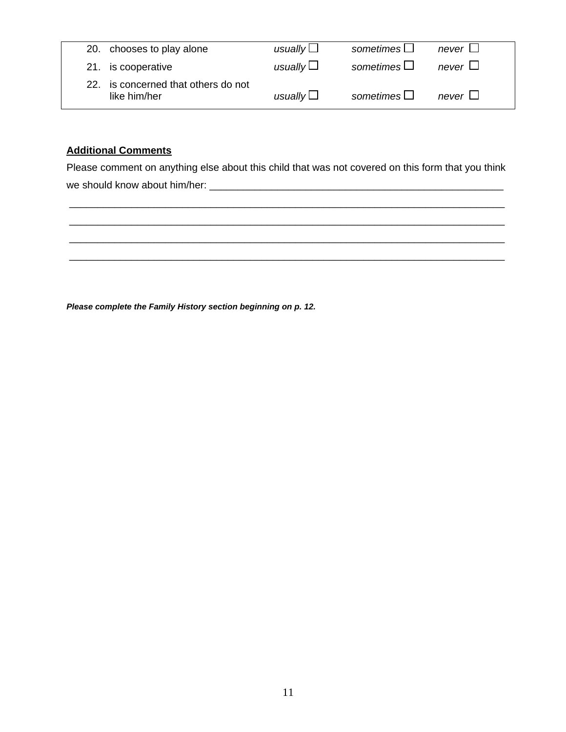| 20. chooses to play alone                           | usually $\Box$ | sometimes $\Box$ | never $\Box$ |
|-----------------------------------------------------|----------------|------------------|--------------|
| 21. is cooperative                                  | usually $\Box$ | sometimes $\Box$ | never $\Box$ |
| 22. is concerned that others do not<br>like him/her | usually $\Box$ | sometimes $\Box$ | never $\Box$ |

# **Additional Comments**

Please comment on anything else about this child that was not covered on this form that you think we should know about him/her: \_\_\_\_\_\_\_\_\_\_\_\_\_\_\_\_\_\_\_\_\_\_\_\_\_\_\_\_\_\_\_\_\_\_\_\_\_\_\_\_\_\_\_\_\_\_\_\_\_\_\_\_



*Please complete the Family History section beginning on p. 12.*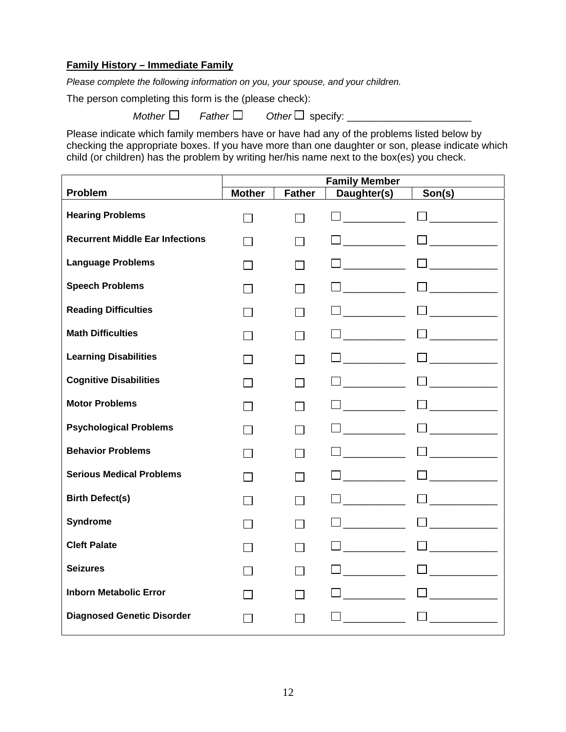# **Family History – Immediate Family**

*Please complete the following information on you, your spouse, and your children.* 

The person completing this form is the (please check):

 $$ 

Please indicate which family members have or have had any of the problems listed below by checking the appropriate boxes. If you have more than one daughter or son, please indicate which child (or children) has the problem by writing her/his name next to the box(es) you check.

|                                        | <b>Family Member</b> |               |             |        |
|----------------------------------------|----------------------|---------------|-------------|--------|
| Problem                                | <b>Mother</b>        | <b>Father</b> | Daughter(s) | Son(s) |
| <b>Hearing Problems</b>                |                      |               |             |        |
| <b>Recurrent Middle Ear Infections</b> |                      |               |             |        |
| <b>Language Problems</b>               |                      |               |             |        |
| <b>Speech Problems</b>                 |                      |               |             |        |
| <b>Reading Difficulties</b>            |                      |               |             |        |
| <b>Math Difficulties</b>               |                      |               |             |        |
| <b>Learning Disabilities</b>           |                      |               |             |        |
| <b>Cognitive Disabilities</b>          |                      |               |             |        |
| <b>Motor Problems</b>                  |                      |               |             |        |
| <b>Psychological Problems</b>          |                      |               |             |        |
| <b>Behavior Problems</b>               |                      |               |             |        |
| <b>Serious Medical Problems</b>        |                      |               |             |        |
| <b>Birth Defect(s)</b>                 |                      |               |             |        |
| <b>Syndrome</b>                        |                      |               |             |        |
| <b>Cleft Palate</b>                    |                      |               |             |        |
| <b>Seizures</b>                        |                      |               |             |        |
| <b>Inborn Metabolic Error</b>          |                      |               |             |        |
| <b>Diagnosed Genetic Disorder</b>      |                      |               |             |        |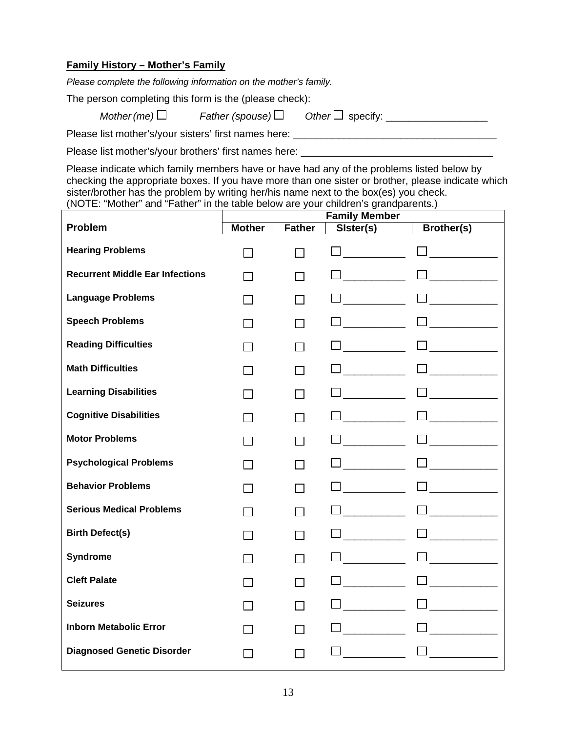# **Family History – Mother's Family**

*Please complete the following information on the mother's family.* 

The person completing this form is the (please check):

 $$ 

Please list mother's/your sisters' first names here:

Please list mother's/your brothers' first names here: \_\_\_\_\_\_\_\_\_\_\_\_\_\_\_\_\_\_\_\_\_\_\_\_\_\_

Please indicate which family members have or have had any of the problems listed below by checking the appropriate boxes. If you have more than one sister or brother, please indicate which sister/brother has the problem by writing her/his name next to the box(es) you check. (NOTE: "Mother" and "Father" in the table below are your children's grandparents.)

|                                        | <b>Family Member</b> |               |           |                   |
|----------------------------------------|----------------------|---------------|-----------|-------------------|
| Problem                                | <b>Mother</b>        | <b>Father</b> | Sister(s) | <b>Brother(s)</b> |
| <b>Hearing Problems</b>                | $\sim$               | $\sim$        |           |                   |
| <b>Recurrent Middle Ear Infections</b> |                      |               |           |                   |
| <b>Language Problems</b>               |                      |               |           |                   |
| <b>Speech Problems</b>                 |                      |               |           |                   |
| <b>Reading Difficulties</b>            |                      |               |           |                   |
| <b>Math Difficulties</b>               |                      |               |           |                   |
| <b>Learning Disabilities</b>           |                      |               |           |                   |
| <b>Cognitive Disabilities</b>          |                      |               |           |                   |
| <b>Motor Problems</b>                  |                      |               |           |                   |
| <b>Psychological Problems</b>          |                      |               |           |                   |
| <b>Behavior Problems</b>               |                      |               |           |                   |
| <b>Serious Medical Problems</b>        | $\sim 1$             |               |           |                   |
| <b>Birth Defect(s)</b>                 | $\sim$               |               |           |                   |
| <b>Syndrome</b>                        |                      |               |           |                   |
| <b>Cleft Palate</b>                    |                      |               |           |                   |
| <b>Seizures</b>                        |                      |               |           |                   |
| <b>Inborn Metabolic Error</b>          |                      |               |           |                   |
| <b>Diagnosed Genetic Disorder</b>      |                      |               |           |                   |